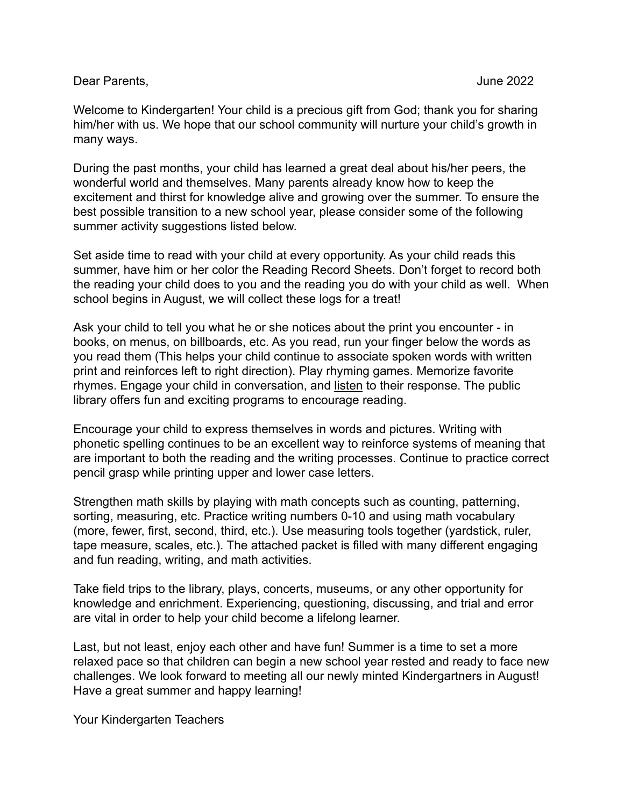Dear Parents, June 2022

Welcome to Kindergarten! Your child is a precious gift from God; thank you for sharing him/her with us. We hope that our school community will nurture your child's growth in many ways.

During the past months, your child has learned a great deal about his/her peers, the wonderful world and themselves. Many parents already know how to keep the excitement and thirst for knowledge alive and growing over the summer. To ensure the best possible transition to a new school year, please consider some of the following summer activity suggestions listed below.

Set aside time to read with your child at every opportunity. As your child reads this summer, have him or her color the Reading Record Sheets. Don't forget to record both the reading your child does to you and the reading you do with your child as well. When school begins in August, we will collect these logs for a treat!

Ask your child to tell you what he or she notices about the print you encounter - in books, on menus, on billboards, etc. As you read, run your finger below the words as you read them (This helps your child continue to associate spoken words with written print and reinforces left to right direction). Play rhyming games. Memorize favorite rhymes. Engage your child in conversation, and listen to their response. The public library offers fun and exciting programs to encourage reading.

Encourage your child to express themselves in words and pictures. Writing with phonetic spelling continues to be an excellent way to reinforce systems of meaning that are important to both the reading and the writing processes. Continue to practice correct pencil grasp while printing upper and lower case letters.

Strengthen math skills by playing with math concepts such as counting, patterning, sorting, measuring, etc. Practice writing numbers 0-10 and using math vocabulary (more, fewer, first, second, third, etc.). Use measuring tools together (yardstick, ruler, tape measure, scales, etc.). The attached packet is filled with many different engaging and fun reading, writing, and math activities.

Take field trips to the library, plays, concerts, museums, or any other opportunity for knowledge and enrichment. Experiencing, questioning, discussing, and trial and error are vital in order to help your child become a lifelong learner.

Last, but not least, enjoy each other and have fun! Summer is a time to set a more relaxed pace so that children can begin a new school year rested and ready to face new challenges. We look forward to meeting all our newly minted Kindergartners in August! Have a great summer and happy learning!

Your Kindergarten Teachers